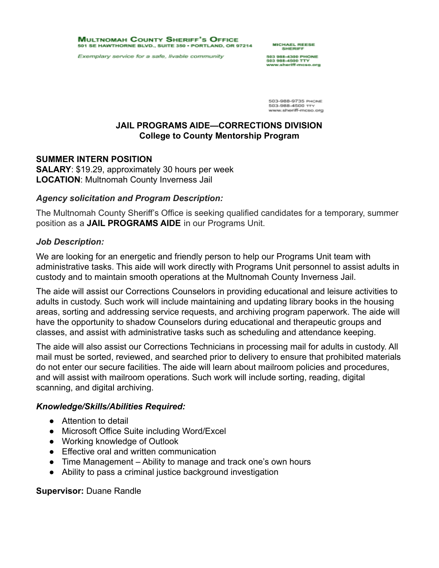**MULTNOMAH COUNTY SHERIFF'S OFFICE** 501 SE HAWTHORNE BLVD., SUITE 350 · PORTLAND, OR 97214

Exemplary service for a safe, livable community

**MICHAEL REESE** 

503 988-4300 PHONE<br>503 988-4500 TTY www.sheriff-mcso.org

503-988-9735 PHONE 503-988-4500 TT www.sheriff-mcso.org

# **JAIL PROGRAMS AIDE—CORRECTIONS DIVISION College to County Mentorship Program**

### **SUMMER INTERN POSITION**

**SALARY**: \$19.29, approximately 30 hours per week **LOCATION**: Multnomah County Inverness Jail

## *Agency solicitation and Program Description:*

The Multnomah County Sheriff's Office is seeking qualified candidates for a temporary, summer position as a **JAIL PROGRAMS AIDE** in our Programs Unit.

### *Job Description:*

We are looking for an energetic and friendly person to help our Programs Unit team with administrative tasks. This aide will work directly with Programs Unit personnel to assist adults in custody and to maintain smooth operations at the Multnomah County Inverness Jail.

The aide will assist our Corrections Counselors in providing educational and leisure activities to adults in custody. Such work will include maintaining and updating library books in the housing areas, sorting and addressing service requests, and archiving program paperwork. The aide will have the opportunity to shadow Counselors during educational and therapeutic groups and classes, and assist with administrative tasks such as scheduling and attendance keeping.

The aide will also assist our Corrections Technicians in processing mail for adults in custody. All mail must be sorted, reviewed, and searched prior to delivery to ensure that prohibited materials do not enter our secure facilities. The aide will learn about mailroom policies and procedures, and will assist with mailroom operations. Such work will include sorting, reading, digital scanning, and digital archiving.

## *Knowledge/Skills/Abilities Required:*

- Attention to detail
- Microsoft Office Suite including Word/Excel
- Working knowledge of Outlook
- Effective oral and written communication
- Time Management Ability to manage and track one's own hours
- Ability to pass a criminal justice background investigation

## **Supervisor:** Duane Randle